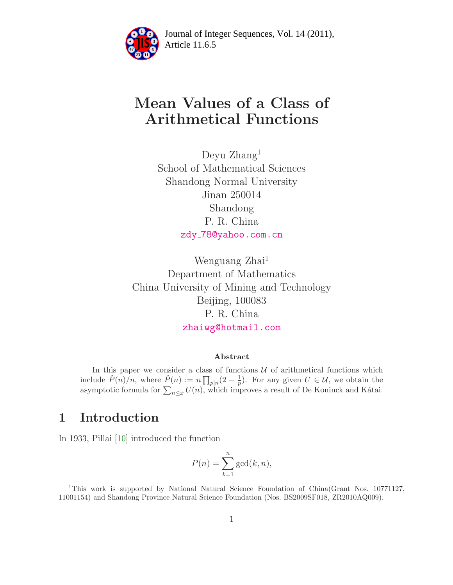

Article 11.6.5 **<sup>2</sup>** Journal of Integer Sequences, Vol. 14 (2011),

# Mean Values of a Class of Arithmetical Functions

Deyu Zhang<sup>[1](#page-0-0)</sup> School of Mathematical Sciences Shandong Normal University Jinan 250014 Shandong P. R. China zdy [78@yahoo.com.cn](mailto:zdy_78@yahoo.com.cn)

Wenguang Zhai<sup>1</sup> Department of Mathematics China University of Mining and Technology Beijing, 100083 P. R. China [zhaiwg@hotmail.com](mailto:zhaiwg@hotmail.com)

#### Abstract

In this paper we consider a class of functions  $U$  of arithmetical functions which include  $\tilde{P}(n)/n$ , where  $\tilde{P}(n) := n \prod_{p|n} (2 - \frac{1}{p})$  $\frac{1}{p}$ ). For any given  $U \in \mathcal{U}$ , we obtain the asymptotic formula for  $\sum_{n\leq x} U(n)$ , which improves a result of De Koninck and Kátai.

## 1 Introduction

In 1933, Pillai [\[10\]](#page-7-0) introduced the function

$$
P(n) = \sum_{k=1}^{n} \gcd(k, n),
$$

<span id="page-0-0"></span><sup>&</sup>lt;sup>1</sup>This work is supported by National Natural Science Foundation of China(Grant Nos. 10771127, 11001154) and Shandong Province Natural Science Foundation (Nos. BS2009SF018, ZR2010AQ009).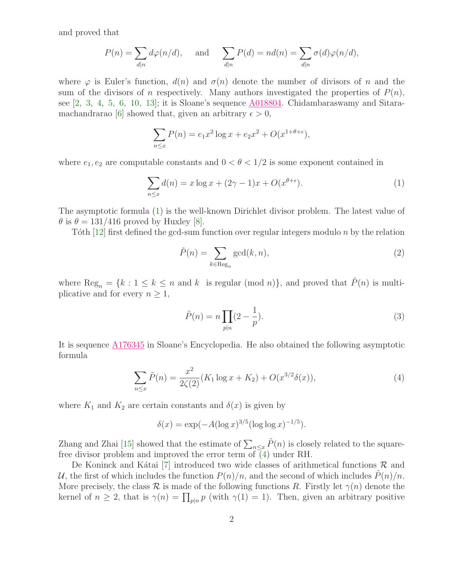and proved that

$$
P(n) = \sum_{d|n} d\varphi(n/d), \quad \text{and} \quad \sum_{d|n} P(d) = nd(n) = \sum_{d|n} \sigma(d)\varphi(n/d),
$$

where  $\varphi$  is Euler's function,  $d(n)$  and  $\sigma(n)$  denote the number of divisors of n and the sum of the divisors of n respectively. Many authors investigated the properties of  $P(n)$ , see [\[2](#page-7-1), [3](#page-7-2), [4](#page-7-3), [5](#page-7-4), [6](#page-7-5), [10](#page-7-0), [13\]](#page-7-6); it is Sloane's sequence [A018804.](http://oeis.org/A018804) Chidambaraswamy and Sitara-machandrarao [\[6\]](#page-7-5) showed that, given an arbitrary  $\epsilon > 0$ ,

$$
\sum_{n \le x} P(n) = e_1 x^2 \log x + e_2 x^2 + O(x^{1+\theta+\epsilon}),
$$

<span id="page-1-0"></span>where  $e_1, e_2$  are computable constants and  $0 < \theta < 1/2$  is some exponent contained in

$$
\sum_{n \le x} d(n) = x \log x + (2\gamma - 1)x + O(x^{\theta + \epsilon}).\tag{1}
$$

The asymptotic formula [\(1\)](#page-1-0) is the well-known Dirichlet divisor problem. The latest value of  $\theta$  is  $\theta = 131/416$  proved by Huxley [\[8\]](#page-7-7).

Tôth [\[12\]](#page-7-8) first defined the gcd-sum function over regular integers modulo  $n$  by the relation

$$
\tilde{P}(n) = \sum_{k \in \text{Reg}_n} \gcd(k, n),\tag{2}
$$

where  $\text{Reg}_n = \{k : 1 \leq k \leq n \text{ and } k \text{ is regular (mod } n)\}\$ , and proved that  $\tilde{P}(n)$  is multiplicative and for every  $n \geq 1$ ,

$$
\tilde{P}(n) = n \prod_{p|n} (2 - \frac{1}{p}).\tag{3}
$$

It is sequence [A176345](http://oeis.org/A176345) in Sloane's Encyclopedia. He also obtained the following asymptotic formula

$$
\sum_{n \le x} \tilde{P}(n) = \frac{x^2}{2\zeta(2)} (K_1 \log x + K_2) + O(x^{3/2} \delta(x)),\tag{4}
$$

<span id="page-1-1"></span>where  $K_1$  and  $K_2$  are certain constants and  $\delta(x)$  is given by

$$
\delta(x) = \exp(-A(\log x)^{3/5}(\log \log x)^{-1/5}).
$$

Zhang and Zhai [\[15\]](#page-7-9) showed that the estimate of  $\sum_{n\leq x} \tilde{P}(n)$  is closely related to the squarefree divisor problem and improved the error term of  $\overline{4}$ ) under RH.

De Koninck and Kátai [\[7\]](#page-7-10) introduced two wide classes of arithmetical functions  $\mathcal{R}$  and U, the first of which includes the function  $P(n)/n$ , and the second of which includes  $P(n)/n$ . More precisely, the class  $\mathcal R$  is made of the following functions R. Firstly let  $\gamma(n)$  denote the kernel of  $n \geq 2$ , that is  $\gamma(n) = \prod_{p|n} p$  (with  $\gamma(1) = 1$ ). Then, given an arbitrary positive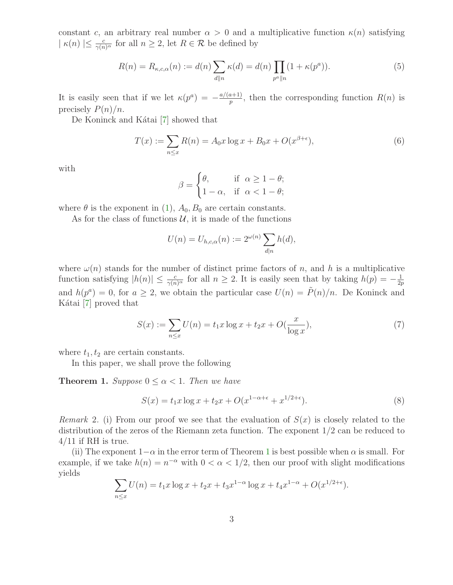constant c, an arbitrary real number  $\alpha > 0$  and a multiplicative function  $\kappa(n)$  satisfying  $|\kappa(n)| \leq \frac{c}{\gamma(n)^\alpha}$  for all  $n \geq 2$ , let  $R \in \mathcal{R}$  be defined by

$$
R(n) = R_{\kappa,c,\alpha}(n) := d(n) \sum_{d||n} \kappa(d) = d(n) \prod_{p^a||n} (1 + \kappa(p^a)).
$$
 (5)

It is easily seen that if we let  $\kappa(p^a) = -\frac{a/(a+1)}{n}$  $\frac{n+1}{p}$ , then the corresponding function  $R(n)$  is precisely  $P(n)/n$ .

De Koninck and Kátai [\[7\]](#page-7-10) showed that

$$
T(x) := \sum_{n \le x} R(n) = A_0 x \log x + B_0 x + O(x^{\beta + \epsilon}),
$$
\n(6)

with

$$
\beta = \begin{cases} \theta, & \text{if } \alpha \ge 1 - \theta; \\ 1 - \alpha, & \text{if } \alpha < 1 - \theta; \end{cases}
$$

where  $\theta$  is the exponent in [\(1\)](#page-1-0),  $A_0$ ,  $B_0$  are certain constants.

As for the class of functions  $\mathcal{U}$ , it is made of the functions

$$
U(n) = U_{h,c,\alpha}(n) := 2^{\omega(n)} \sum_{d|n} h(d),
$$

where  $\omega(n)$  stands for the number of distinct prime factors of n, and h is a multiplicative function satisfying  $|h(n)| \leq \frac{c}{\gamma(n)^{\alpha}}$  for all  $n \geq 2$ . It is easily seen that by taking  $h(p) = -\frac{1}{2p}$  $_{2p}$ and  $h(p^a) = 0$ , for  $a \geq 2$ , we obtain the particular case  $U(n) = \tilde{P}(n)/n$ . De Koninck and Kátai  $[7]$  proved that

$$
S(x) := \sum_{n \le x} U(n) = t_1 x \log x + t_2 x + O(\frac{x}{\log x}),\tag{7}
$$

<span id="page-2-0"></span>where  $t_1, t_2$  are certain constants.

In this paper, we shall prove the following

**Theorem 1.** Suppose  $0 \leq \alpha < 1$ . Then we have

$$
S(x) = t_1 x \log x + t_2 x + O(x^{1-\alpha+\epsilon} + x^{1/2+\epsilon}).
$$
\n(8)

Remark 2. (i) From our proof we see that the evaluation of  $S(x)$  is closely related to the distribution of the zeros of the Riemann zeta function. The exponent 1/2 can be reduced to  $4/11$  if RH is true.

(ii) The exponent  $1-\alpha$  $1-\alpha$  in the error term of Theorem 1 is best possible when  $\alpha$  is small. For example, if we take  $h(n) = n^{-\alpha}$  with  $0 < \alpha < 1/2$ , then our proof with slight modifications yields

$$
\sum_{n \le x} U(n) = t_1 x \log x + t_2 x + t_3 x^{1-\alpha} \log x + t_4 x^{1-\alpha} + O(x^{1/2+\epsilon}).
$$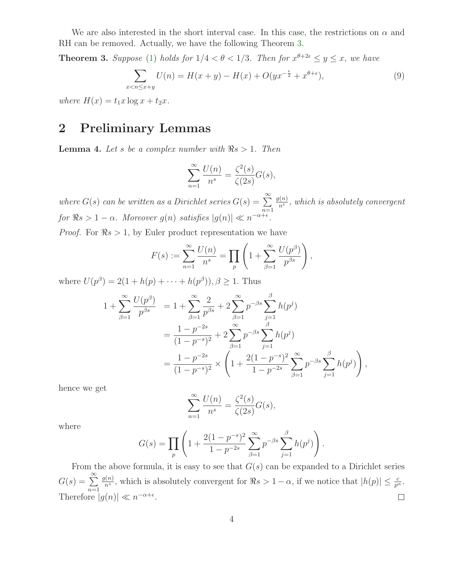<span id="page-3-0"></span>We are also interested in the short interval case. In this case, the restrictions on  $\alpha$  and RH can be removed. Actually, we have the following Theorem [3.](#page-3-0)

**Theorem 3.** Suppose [\(1\)](#page-1-0) holds for  $1/4 < \theta < 1/3$ . Then for  $x^{\theta+2\epsilon} \leq y \leq x$ , we have

$$
\sum_{x < n \le x+y} U(n) = H(x+y) - H(x) + O(yx^{-\frac{\epsilon}{2}} + x^{\theta + \epsilon}),\tag{9}
$$

where  $H(x) = t_1 x \log x + t_2 x$ .

### 2 Preliminary Lemmas

<span id="page-3-1"></span>**Lemma 4.** Let s be a complex number with  $\Re s > 1$ . Then

$$
\sum_{n=1}^{\infty} \frac{U(n)}{n^s} = \frac{\zeta^2(s)}{\zeta(2s)} G(s),
$$

where  $G(s)$  can be written as a Dirichlet series  $G(s) = \sum_{n=0}^{\infty}$  $n=1$  $g(n)$  $\frac{n^{(n)}}{n^s}$ , which is absolutely convergent for  $\Re s > 1 - \alpha$ . Moreover  $g(n)$  satisfies  $|g(n)| \ll n^{-\alpha + \epsilon}$ .

*Proof.* For  $\Re s > 1$ , by Euler product representation we have

$$
F(s) := \sum_{n=1}^{\infty} \frac{U(n)}{n^{s}} = \prod_{p} \left( 1 + \sum_{\beta=1}^{\infty} \frac{U(p^{\beta})}{p^{\beta s}} \right),
$$

where  $U(p^{\beta}) = 2(1 + h(p) + \cdots + h(p^{\beta})), \beta \ge 1$ . Thus

$$
1 + \sum_{\beta=1}^{\infty} \frac{U(p^{\beta})}{p^{\beta s}} = 1 + \sum_{\beta=1}^{\infty} \frac{2}{p^{\beta s}} + 2 \sum_{\beta=1}^{\infty} p^{-\beta s} \sum_{j=1}^{\beta} h(p^{j})
$$
  
= 
$$
\frac{1 - p^{-2s}}{(1 - p^{-s})^2} + 2 \sum_{\beta=1}^{\infty} p^{-\beta s} \sum_{j=1}^{\beta} h(p^{j})
$$
  
= 
$$
\frac{1 - p^{-2s}}{(1 - p^{-s})^2} \times \left(1 + \frac{2(1 - p^{-s})^2}{1 - p^{-2s}} \sum_{\beta=1}^{\infty} p^{-\beta s} \sum_{j=1}^{\beta} h(p^{j})\right),
$$

hence we get

$$
\sum_{n=1}^{\infty} \frac{U(n)}{n^s} = \frac{\zeta^2(s)}{\zeta(2s)} G(s),
$$

where

$$
G(s) = \prod_{p} \left( 1 + \frac{2(1 - p^{-s})^2}{1 - p^{-2s}} \sum_{\beta=1}^{\infty} p^{-\beta s} \sum_{j=1}^{\beta} h(p^j) \right).
$$

From the above formula, it is easy to see that  $G(s)$  can be expanded to a Dirichlet series  $G(s) = \sum_{n=1}^{\infty}$  $g(n)$  $\frac{f(n)}{n^s}$ , which is absolutely convergent for  $\Re s > 1 - \alpha$ , if we notice that  $|h(p)| \leq \frac{c}{p^{\alpha}}$ .  $n=1$ Therefore  $|g(n)| \ll n^{-\alpha+\epsilon}$ .  $\Box$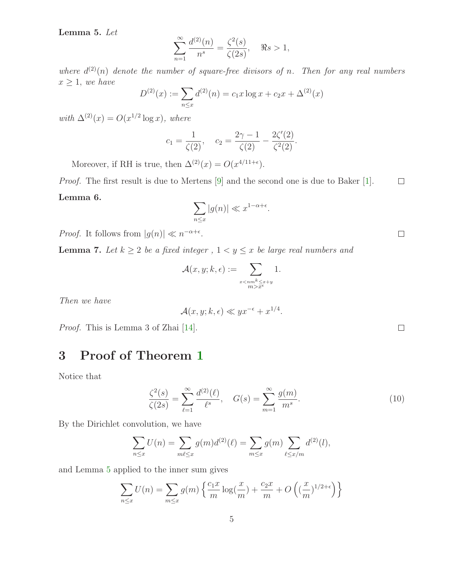<span id="page-4-0"></span>Lemma 5. Let

$$
\sum_{n=1}^{\infty} \frac{d^{(2)}(n)}{n^s} = \frac{\zeta^2(s)}{\zeta(2s)}, \quad \Re s > 1,
$$

where  $d^{(2)}(n)$  denote the number of square-free divisors of n. Then for any real numbers  $x \geq 1$ , we have

$$
D^{(2)}(x) := \sum_{n \le x} d^{(2)}(n) = c_1 x \log x + c_2 x + \Delta^{(2)}(x)
$$

with  $\Delta^{(2)}(x) = O(x^{1/2} \log x)$ , where

$$
c_1 = \frac{1}{\zeta(2)}, \quad c_2 = \frac{2\gamma - 1}{\zeta(2)} - \frac{2\zeta'(2)}{\zeta^2(2)}.
$$

Moreover, if RH is true, then  $\Delta^{(2)}(x) = O(x^{4/11+\epsilon}).$ 

<span id="page-4-1"></span>Proof. The first result is due to Mertens [\[9\]](#page-7-11) and the second one is due to Baker [\[1\]](#page-7-12).  $\Box$ Lemma 6.

$$
\sum_{n \le x} |g(n)| \ll x^{1-\alpha+\epsilon}.
$$

*Proof.* It follows from  $|g(n)| \ll n^{-\alpha+\epsilon}$ .

<span id="page-4-2"></span>**Lemma 7.** Let  $k \geq 2$  be a fixed integer,  $1 < y \leq x$  be large real numbers and

$$
\mathcal{A}(x,y;k,\epsilon) := \sum_{\substack{x < nm^k \leq x+y\\ m > x^{\epsilon}}} 1.
$$

Then we have

$$
\mathcal{A}(x, y; k, \epsilon) \ll yx^{-\epsilon} + x^{1/4}.
$$

Proof. This is Lemma 3 of Zhai [\[14\]](#page-7-13).

# 3 Proof of Theorem [1](#page-2-0)

Notice that

$$
\frac{\zeta^2(s)}{\zeta(2s)} = \sum_{\ell=1}^{\infty} \frac{d^{(2)}(\ell)}{\ell^s}, \quad G(s) = \sum_{m=1}^{\infty} \frac{g(m)}{m^s}.
$$
 (10)

By the Dirichlet convolution, we have

$$
\sum_{n \le x} U(n) = \sum_{m \ell \le x} g(m) d^{(2)}(\ell) = \sum_{m \le x} g(m) \sum_{\ell \le x/m} d^{(2)}(\ell),
$$

and Lemma [5](#page-4-0) applied to the inner sum gives

$$
\sum_{n \le x} U(n) = \sum_{m \le x} g(m) \left\{ \frac{c_1 x}{m} \log(\frac{x}{m}) + \frac{c_2 x}{m} + O\left((\frac{x}{m})^{1/2 + \epsilon}\right) \right\}
$$

 $\Box$ 

 $\Box$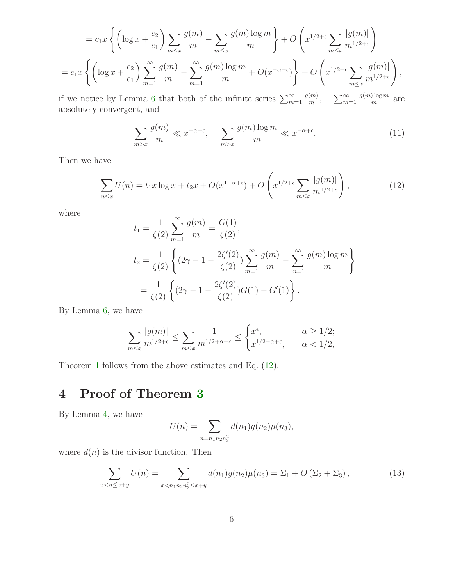$$
=c_1x\left\{\left(\log x+\frac{c_2}{c_1}\right)\sum_{m\leq x}\frac{g(m)}{m}-\sum_{m\leq x}\frac{g(m)\log m}{m}\right\}+O\left(x^{1/2+\epsilon}\sum_{m\leq x}\frac{|g(m)|}{m^{1/2+\epsilon}}\right)
$$

$$
=c_1x\left\{\left(\log x+\frac{c_2}{c_1}\right)\sum_{m=1}^{\infty}\frac{g(m)}{m}-\sum_{m=1}^{\infty}\frac{g(m)\log m}{m}+O(x^{-\alpha+\epsilon})\right\}+O\left(x^{1/2+\epsilon}\sum_{m\leq x}\frac{|g(m)|}{m^{1/2+\epsilon}}\right),
$$

if we notice by Lemma [6](#page-4-1) that both of the infinite series  $\sum_{m=1}^{\infty}$  $g(m)$  $\frac{(m)}{m}$ ,  $\sum_{m=1}^{\infty}$  $g(m)$  log m  $\frac{m}{m}$  are absolutely convergent, and

$$
\sum_{m>x} \frac{g(m)}{m} \ll x^{-\alpha + \epsilon}, \quad \sum_{m>x} \frac{g(m) \log m}{m} \ll x^{-\alpha + \epsilon}.
$$
 (11)

<span id="page-5-0"></span>Then we have

$$
\sum_{n\leq x} U(n) = t_1 x \log x + t_2 x + O(x^{1-\alpha+\epsilon}) + O\left(x^{1/2+\epsilon} \sum_{m\leq x} \frac{|g(m)|}{m^{1/2+\epsilon}}\right),\tag{12}
$$

where

$$
t_1 = \frac{1}{\zeta(2)} \sum_{m=1}^{\infty} \frac{g(m)}{m} = \frac{G(1)}{\zeta(2)},
$$
  
\n
$$
t_2 = \frac{1}{\zeta(2)} \left\{ (2\gamma - 1 - \frac{2\zeta'(2)}{\zeta(2)}) \sum_{m=1}^{\infty} \frac{g(m)}{m} - \sum_{m=1}^{\infty} \frac{g(m) \log m}{m} \right\}
$$
  
\n
$$
= \frac{1}{\zeta(2)} \left\{ (2\gamma - 1 - \frac{2\zeta'(2)}{\zeta(2)}) G(1) - G'(1) \right\}.
$$

By Lemma [6,](#page-4-1) we have

$$
\sum_{m\leq x} \frac{|g(m)|}{m^{1/2+\epsilon}} \leq \sum_{m\leq x} \frac{1}{m^{1/2+\alpha+\epsilon}} \leq \begin{cases} x^{\epsilon}, & \alpha \geq 1/2; \\ x^{1/2-\alpha+\epsilon}, & \alpha < 1/2, \end{cases}
$$

Theorem [1](#page-2-0) follows from the above estimates and Eq. [\(12\)](#page-5-0).

# 4 Proof of Theorem [3](#page-3-0)

By Lemma [4,](#page-3-1) we have

$$
U(n) = \sum_{n=n_1n_2n_3^2} d(n_1)g(n_2)\mu(n_3),
$$

<span id="page-5-1"></span>where  $d(n)$  is the divisor function. Then

$$
\sum_{x < n \le x+y} U(n) = \sum_{x < n_1 n_2 n_3^2 \le x+y} d(n_1) g(n_2) \mu(n_3) = \Sigma_1 + O\left(\Sigma_2 + \Sigma_3\right),\tag{13}
$$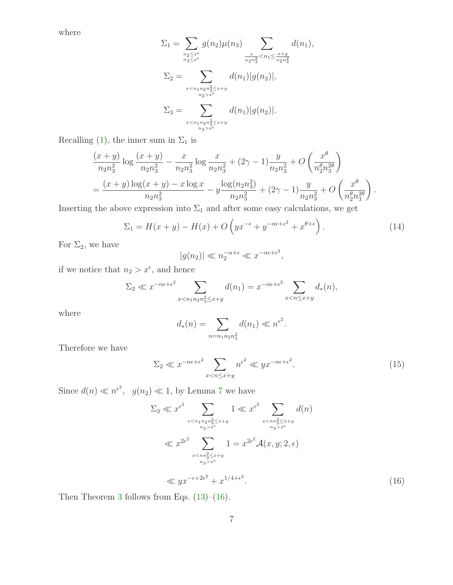where

$$
\Sigma_1 = \sum_{\substack{n_2 \le x^{\epsilon} \\ n_3 \le x^{\epsilon}}} g(n_2) \mu(n_3) \sum_{\substack{x \\ n_2 n_3^2 < n_1 \le \frac{x+y}{n_2 n_3^2}}} d(n_1),
$$
\n
$$
\Sigma_2 = \sum_{\substack{x < n_1 n_2 n_3^2 \le x+y \\ n_2 > x^{\epsilon}}} d(n_1) |g(n_2)|,
$$
\n
$$
\Sigma_3 = \sum_{\substack{x < n_1 n_2 n_3^2 \le x+y \\ n_3 > x^{\epsilon}}} d(n_1) |g(n_2)|.
$$

Recalling [\(1\)](#page-1-0), the inner sum in  $\Sigma_1$  is

$$
\frac{(x+y)}{n_2 n_3^2} \log \frac{(x+y)}{n_2 n_3^2} - \frac{x}{n_2 n_3^2} \log \frac{x}{n_2 n_3^2} + (2\gamma - 1) \frac{y}{n_2 n_3^2} + O\left(\frac{x^{\theta}}{n_2^{\theta} n_3^{2\theta}}\right)
$$
  
= 
$$
\frac{(x+y) \log(x+y) - x \log x}{n_2 n_3^2} - y \frac{\log(n_2 n_3^2)}{n_2 n_3^2} + (2\gamma - 1) \frac{y}{n_2 n_3^2} + O\left(\frac{x^{\theta}}{n_2^{\theta} n_3^{2\theta}}\right).
$$

Inserting the above expression into  $\Sigma_1$  and after some easy calculations, we get

$$
\Sigma_1 = H(x+y) - H(x) + O\left(yx^{-\epsilon} + y^{-\alpha\epsilon + \epsilon^2} + x^{\theta + \epsilon}\right). \tag{14}
$$

For  $\Sigma_2$ , we have

$$
|g(n_2)| \ll n_2^{-\alpha+\epsilon} \ll x^{-\alpha\epsilon+\epsilon^2},
$$

if we notice that  $n_2 > x^{\epsilon}$ , and hence

$$
\Sigma_2 \ll x^{-\alpha \epsilon + \epsilon^2} \sum_{x < n_1 n_2 n_3^2 \leq x + y} d(n_1) = x^{-\alpha \epsilon + \epsilon^2} \sum_{x < n \leq x + y} d_*(n),
$$

where

$$
d_*(n) = \sum_{n=n_1n_2n_3^2} d(n_1) \ll n^{\epsilon^2}.
$$

Therefore we have

$$
\Sigma_2 \ll x^{-\alpha \epsilon + \epsilon^2} \sum_{x < n \le x+y} n^{\epsilon^2} \ll y x^{-\alpha \epsilon + \epsilon^2}.\tag{15}
$$

Since  $d(n) \ll n^{\epsilon^2}$ ,  $g(n_2) \ll 1$ , by Lemma [7](#page-4-2) we have

$$
\sum_{3} \ll x^{\epsilon^2} \sum_{\substack{x < n_1 n_2 n_3^2 \le x+y \\ n_3 > x^{\epsilon}}} 1 \ll x^{\epsilon^2} \sum_{\substack{x < nn_3^2 \le x+y \\ n_3 > x^{\epsilon}}} d(n)
$$
\n
$$
\ll x^{2\epsilon^2} \sum_{\substack{x < nn_3^2 \le x+y \\ n_3 > x^{\epsilon}}} 1 = x^{2\epsilon^2} \mathcal{A}(x, y; 2, \epsilon)
$$
\n
$$
\ll yx^{-\epsilon + 2\epsilon^2} + x^{1/4 + \epsilon^2}.
$$
\n(16)

<span id="page-6-0"></span>Then Theorem [3](#page-3-0) follows from Eqs.  $(13)$ – $(16)$ .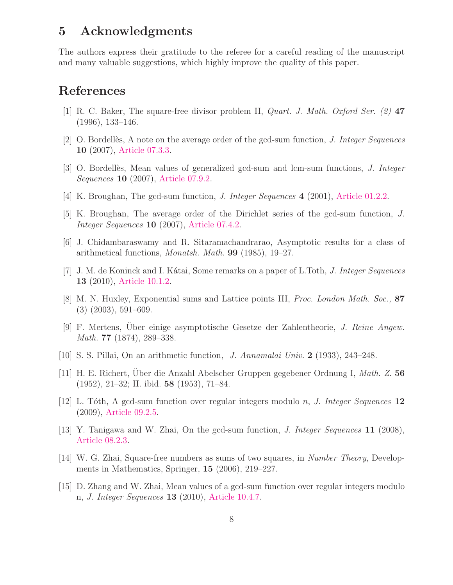#### 5 Acknowledgments

The authors express their gratitude to the referee for a careful reading of the manuscript and many valuable suggestions, which highly improve the quality of this paper.

#### <span id="page-7-12"></span>References

- <span id="page-7-1"></span>[1] R. C. Baker, The square-free divisor problem II, Quart. J. Math. Oxford Ser. (2) 47 (1996), 133–146.
- <span id="page-7-2"></span>[2] O. Bordellès, A note on the average order of the gcd-sum function, *J. Integer Sequences* 10 (2007), [Article 07.3.3.](http://www.cs.uwaterloo.ca/journals/JIS/VOL10/Bordelles/bordelles90.html)
- <span id="page-7-3"></span>[3] O. Bordellès, Mean values of generalized gcd-sum and lcm-sum functions, J. Integer Sequences **10** (2007), [Article 07.9.2.](http://www.cs.uwaterloo.ca/journals/JIS/VOL10/Bordelles2/bordelles61.html)
- <span id="page-7-4"></span>[4] K. Broughan, The gcd-sum function, *J. Integer Sequences* 4 (2001), [Article 01.2.2.](http://www.cs.uwaterloo.ca/journals/JIS/VOL4/BROUGHAN/gcdsum.html)
- <span id="page-7-5"></span>[5] K. Broughan, The average order of the Dirichlet series of the gcd-sum function, J. Integer Sequences 10 (2007), [Article 07.4.2.](http://www.cs.uwaterloo.ca/journals/JIS/VOL10/Broughan/broughan1.html)
- <span id="page-7-10"></span>[6] J. Chidambaraswamy and R. Sitaramachandrarao, Asymptotic results for a class of arithmetical functions, *Monatsh. Math.* **99** (1985), 19–27.
- <span id="page-7-7"></span>[7] J. M. de Koninck and I. Kátai, Some remarks on a paper of L.Toth, J. Integer Sequences 13 (2010), [Article 10.1.2.](http://www.cs.uwaterloo.ca/journals/JIS/VOL13/DeKoninck/dekoninck7.html)
- <span id="page-7-11"></span>[8] M. N. Huxley, Exponential sums and Lattice points III, Proc. London Math. Soc., 87 (3) (2003), 591–609.
- [9] F. Mertens, Uber einige asymptotische Gesetze der Zahlentheorie, J. Reine Angew. Math. 77 (1874), 289–338.
- <span id="page-7-0"></span>[10] S. S. Pillai, On an arithmetic function, J. Annamalai Univ. 2 (1933), 243–248.
- <span id="page-7-8"></span>[11] H. E. Richert, Uber die Anzahl Abelscher Gruppen gegebener Ordnung I, Math. Z. 56 (1952), 21–32; II. ibid. 58 (1953), 71–84.
- [12] L. Tóth, A gcd-sum function over regular integers modulo n, J. Integer Sequences  $12$ (2009), [Article 09.2.5.](http://www.cs.uwaterloo.ca/journals/JIS/VOL12/Toth/toth3.html)
- <span id="page-7-13"></span><span id="page-7-6"></span>[13] Y. Tanigawa and W. Zhai, On the gcd-sum function, J. Integer Sequences 11 (2008), [Article 08.2.3.](http://www.cs.uwaterloo.ca/journals/JIS/VOL11/Tanigawa/tanigawa12.html)
- [14] W. G. Zhai, Square-free numbers as sums of two squares, in Number Theory, Developments in Mathematics, Springer, 15 (2006), 219–227.
- <span id="page-7-9"></span>[15] D. Zhang and W. Zhai, Mean values of a gcd-sum function over regular integers modulo n, J. Integer Sequences 13 (2010), [Article 10.4.7.](http://www.cs.uwaterloo.ca/journals/JIS/VOL13/Zhang/zhang10.html)